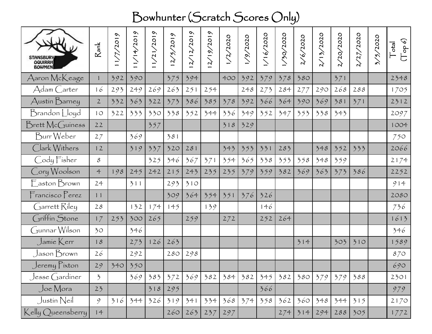## Bowhunter (Scratch Scores Only)

| STANSBURY<br>OQUIRRH<br>BOWMEN | $R$ ank                  | $\sim$<br>1/7/201 | $\sim$<br>1/14/201 | $\sim$<br>1/21/201 | $\sim$<br>201<br>$\mathcal{L}_{\mathcal{L}}$<br>$\mathcal{L}$ | $\omega$<br>2/12/201 | $\omega$<br>2/19/201 | 2/2020 | /9/2020 | /2020<br>$\frac{6}{1}$ | 730/2020 | 6/2020 | 13/2020 | 720/2020 | 27/2020 | 3/5/2020 | $(\mathbb{T} \circ \mathsf{p} \circ)$<br> ep |
|--------------------------------|--------------------------|-------------------|--------------------|--------------------|---------------------------------------------------------------|----------------------|----------------------|--------|---------|------------------------|----------|--------|---------|----------|---------|----------|----------------------------------------------|
| Aaron McKeage                  | ĺ                        | 392               | 390                |                    | 375                                                           | 394                  |                      | 400    | 392     | 379                    | 378      | 380    |         | 371      |         |          | 2348                                         |
| Adam Carter                    | 16                       | 293               | 249                | 269                | 263                                                           | 251                  | 254                  |        | 248     | 273                    | 284      | 277    | 290     | 268      | 288     |          | 1705                                         |
| Austin Barney                  | $\mathbf{2}$             | 332               | 363                | 322                | 373                                                           | 386                  | 385                  | 378    | 392     | 366                    | 364      | 390    | 369     | 381      | 371     |          | 2312                                         |
| Brandon Lloyd                  | 10                       | 322               | 333                | 330                | 338                                                           | 352                  | 344                  | 336    | 349     | 352                    | 347      | 353    | 338     | 343      |         |          | 2097                                         |
| Brett McGuiness                | 22                       |                   |                    | 357                |                                                               |                      |                      | 318    | 329     |                        |          |        |         |          |         |          | 1004                                         |
| Burr Weber                     | 27                       |                   | 369                |                    | 381                                                           |                      |                      |        |         |                        |          |        |         |          |         |          | 750                                          |
| Clark Withers                  | 12                       |                   | 319                | 337                | 320                                                           | 281                  |                      | 343    | 353     | 331                    | 283      |        | 348     | 352      | 333     |          | 2066                                         |
| Cody Fisher                    | $\mathcal{S}$            |                   |                    | 325                | 346                                                           | 367                  | 371                  | 354    | 365     | 338                    | 353      | 358    | 348     | 359      |         |          | 2174                                         |
| Cory Woolson                   | $\ddot{\mathcal{L}}$     | 198               | 245                | 242                | 215                                                           | 243                  | 235                  | 235    | 379     | 359                    | 382      | 369    | 363     | 373      | 386     |          | 2252                                         |
| Easton Brown                   | 24                       |                   | 311                |                    | 293                                                           | 310                  |                      |        |         |                        |          |        |         |          |         |          | 914                                          |
| Francisco Perez                | 11                       |                   |                    |                    | 309                                                           | 364                  | 354                  | 351    | 376     | 326                    |          |        |         |          |         |          | 2080                                         |
| Garrett Riley                  | 28                       |                   | 132                | 174                | 145                                                           |                      | 139                  |        |         | 146                    |          |        |         |          |         |          | 736                                          |
| Griffin Stone                  | 17                       | 253               | 300                | 265                |                                                               | 259                  |                      | 272    |         | 252                    | 264      |        |         |          |         |          | 1613                                         |
| Gunnar Wilson                  | 30                       |                   | 346                |                    |                                                               |                      |                      |        |         |                        |          |        |         |          |         |          | 346                                          |
| $\int$ amie $\int$ err         | 18                       |                   | 273                | 126                | 263                                                           |                      |                      |        |         |                        |          | 314    |         | 303      | 310     |          | 1589                                         |
| Jason Brown                    | 26                       |                   | 292                |                    | 280                                                           | 298                  |                      |        |         |                        |          |        |         |          |         |          | 870                                          |
| $J$ eremy $P$ <i>ixton</i>     | 29                       | 340               | 350                |                    |                                                               |                      |                      |        |         |                        |          |        |         |          |         |          | 690                                          |
| $Jesse$ $Gard$ iner            | $\overline{\mathcal{L}}$ |                   | 369                | 383                | 372                                                           | 369                  | 382                  | 384    | 382     | 345                    | 382      | 380    | 379     | 379      | 388     |          | 2301                                         |
| Joe Mora                       | 23                       |                   |                    | 318                | 295                                                           |                      |                      |        |         | 366                    |          |        |         |          |         |          | 979                                          |
| Justin Neil                    | 9                        | 316               | 344                | 326                | 319                                                           | 341                  | 334                  | 368    | 374     | 358                    | 362      | 360    | 348     | 344      | 315     |          | 2170                                         |
| Kelly Queensberry              | 14                       |                   |                    |                    | 260                                                           | 263                  | 237                  | 297    |         |                        | 274      | 314    | 294     | 288      | 305     |          | 1772                                         |